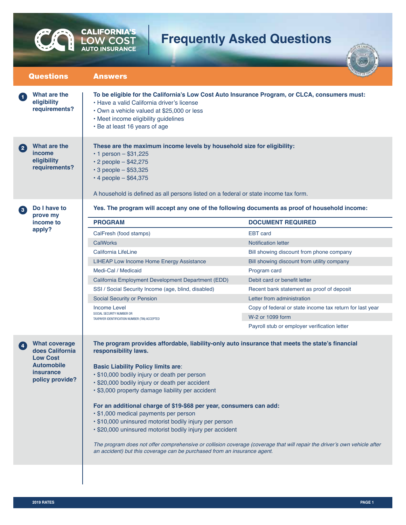## **Frequently Asked Questions**

| <b>Answers</b>                                                                                                                                                                                                                                                                                                             |                                                                                                                                                                       |  |
|----------------------------------------------------------------------------------------------------------------------------------------------------------------------------------------------------------------------------------------------------------------------------------------------------------------------------|-----------------------------------------------------------------------------------------------------------------------------------------------------------------------|--|
| To be eligible for the California's Low Cost Auto Insurance Program, or CLCA, consumers must:<br>• Have a valid California driver's license<br>• Own a vehicle valued at \$25,000 or less<br>• Meet income eligibility guidelines<br>• Be at least 16 years of age                                                         |                                                                                                                                                                       |  |
| These are the maximum income levels by household size for eligibility:<br>• 1 person $-$ \$31,225<br>$\cdot$ 2 people - \$42,275<br>$\cdot$ 3 people - \$53,325<br>$\cdot$ 4 people - \$64,375<br>A household is defined as all persons listed on a federal or state income tax form.                                      |                                                                                                                                                                       |  |
| Yes. The program will accept any one of the following documents as proof of household income:                                                                                                                                                                                                                              |                                                                                                                                                                       |  |
| <b>PROGRAM</b>                                                                                                                                                                                                                                                                                                             | <b>DOCUMENT REQUIRED</b>                                                                                                                                              |  |
| CalFresh (food stamps)                                                                                                                                                                                                                                                                                                     | <b>EBT</b> card                                                                                                                                                       |  |
| <b>CalWorks</b>                                                                                                                                                                                                                                                                                                            | <b>Notification letter</b>                                                                                                                                            |  |
| California LifeLine                                                                                                                                                                                                                                                                                                        | Bill showing discount from phone company                                                                                                                              |  |
| LIHEAP Low Income Home Energy Assistance                                                                                                                                                                                                                                                                                   | Bill showing discount from utility company                                                                                                                            |  |
| Medi-Cal / Medicaid                                                                                                                                                                                                                                                                                                        | Program card                                                                                                                                                          |  |
| California Employment Development Department (EDD)                                                                                                                                                                                                                                                                         | Debit card or benefit letter                                                                                                                                          |  |
| SSI / Social Security Income (age, blind, disabled)                                                                                                                                                                                                                                                                        | Recent bank statement as proof of deposit                                                                                                                             |  |
| Social Security or Pension                                                                                                                                                                                                                                                                                                 | Letter from administration                                                                                                                                            |  |
| Income Level<br>SOCIAL SECURITY NUMBER OR<br>TAXPAYER IDENTIFICATION NUMBER (TIN) ACCEPTED                                                                                                                                                                                                                                 | Copy of federal or state income tax return for last year                                                                                                              |  |
|                                                                                                                                                                                                                                                                                                                            | W-2 or 1099 form                                                                                                                                                      |  |
|                                                                                                                                                                                                                                                                                                                            | Payroll stub or employer verification letter                                                                                                                          |  |
| responsibility laws.<br><b>Basic Liability Policy limits are:</b><br>· \$10,000 bodily injury or death per person<br>· \$20,000 bodily injury or death per accident<br>· \$3,000 property damage liability per accident<br>. \$1,000 medical payments per person<br>· \$10,000 uninsured motorist bodily injury per person | The program provides affordable, liability-only auto insurance that meets the state's financial<br>For an additional charge of \$19-\$68 per year, consumers can add: |  |
|                                                                                                                                                                                                                                                                                                                            | · \$20,000 uninsured motorist bodily injury per accident                                                                                                              |  |

F

C

**CALIFORNIA'S**